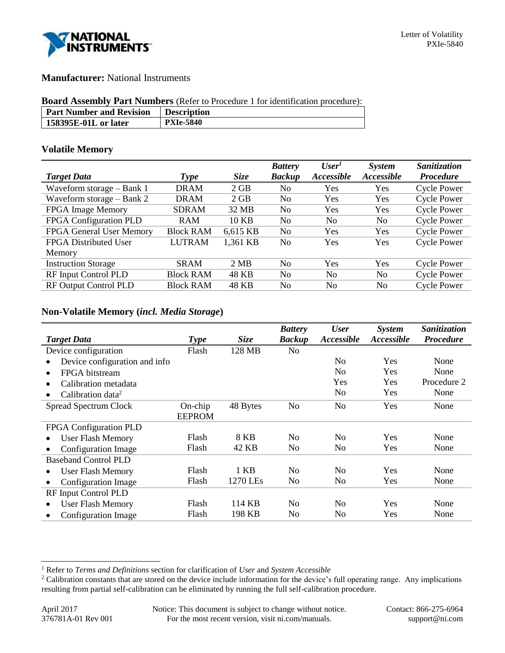

## **Manufacturer:** National Instruments

#### **Board Assembly Part Numbers** (Refer to Procedure 1 for identification procedure):

| <b>Part Number and Revision</b> | <b>Description</b> |
|---------------------------------|--------------------|
| 158395E-01L or later            | <b>PXIe-5840</b>   |

### **Volatile Memory**

|                              |                  |             | <b>Battery</b> | User <sup>1</sup>        | <b>System</b>     | <b>Sanitization</b> |
|------------------------------|------------------|-------------|----------------|--------------------------|-------------------|---------------------|
| <b>Target Data</b>           | <b>Type</b>      | <b>Size</b> | <b>Backup</b>  | <i><b>Accessible</b></i> | <b>Accessible</b> | <b>Procedure</b>    |
| Waveform storage - Bank 1    | <b>DRAM</b>      | 2 GB        | No             | Yes                      | Yes               | <b>Cycle Power</b>  |
| Waveform storage $-$ Bank 2  | <b>DRAM</b>      | 2 GB        | N <sub>0</sub> | Yes                      | Yes               | <b>Cycle Power</b>  |
| FPGA Image Memory            | <b>SDRAM</b>     | 32 MB       | N <sub>0</sub> | Yes                      | Yes               | <b>Cycle Power</b>  |
| FPGA Configuration PLD       | <b>RAM</b>       | 10 KB       | No             | N <sub>0</sub>           | N <sub>0</sub>    | <b>Cycle Power</b>  |
| FPGA General User Memory     | <b>Block RAM</b> | 6,615 KB    | N <sub>0</sub> | Yes                      | <b>Yes</b>        | <b>Cycle Power</b>  |
| FPGA Distributed User        | <b>LUTRAM</b>    | 1,361 KB    | No             | Yes                      | Yes               | <b>Cycle Power</b>  |
| Memory                       |                  |             |                |                          |                   |                     |
| <b>Instruction Storage</b>   | <b>SRAM</b>      | 2 MB        | No             | Yes                      | Yes               | <b>Cycle Power</b>  |
| RF Input Control PLD         | <b>Block RAM</b> | 48 KB       | N <sub>0</sub> | N <sub>0</sub>           | N <sub>0</sub>    | <b>Cycle Power</b>  |
| <b>RF Output Control PLD</b> | <b>Block RAM</b> | 48 KB       | No             | N <sub>0</sub>           | N <sub>0</sub>    | <b>Cycle Power</b>  |

## **Non-Volatile Memory (***incl. Media Storage***)**

|                               |               |             | <b>Battery</b> | <b>User</b>              | System     | Sanitization     |
|-------------------------------|---------------|-------------|----------------|--------------------------|------------|------------------|
| <b>Target Data</b>            | <b>Type</b>   | <b>Size</b> | <b>Backup</b>  | <i><b>Accessible</b></i> | Accessible | <b>Procedure</b> |
| Device configuration          | Flash         | 128 MB      | No             |                          |            |                  |
| Device configuration and info |               |             |                | N <sub>0</sub>           | <b>Yes</b> | None             |
| FPGA bitstream                |               |             |                | N <sub>0</sub>           | Yes        | None             |
| Calibration metadata          |               |             |                | Yes                      | Yes        | Procedure 2      |
| Calibration data <sup>2</sup> |               |             |                | No                       | Yes        | None             |
| <b>Spread Spectrum Clock</b>  | $On$ -chip    | 48 Bytes    | N <sub>o</sub> | N <sub>o</sub>           | Yes        | None             |
|                               | <b>EEPROM</b> |             |                |                          |            |                  |
| FPGA Configuration PLD        |               |             |                |                          |            |                  |
| <b>User Flash Memory</b>      | Flash         | 8 KB        | N <sub>0</sub> | N <sub>0</sub>           | <b>Yes</b> | None             |
| <b>Configuration Image</b>    | Flash         | 42 KB       | N <sub>0</sub> | N <sub>0</sub>           | <b>Yes</b> | None             |
| <b>Baseband Control PLD</b>   |               |             |                |                          |            |                  |
| <b>User Flash Memory</b>      | Flash         | 1 KB        | N <sub>0</sub> | N <sub>0</sub>           | Yes        | None             |
| Configuration Image           | Flash         | 1270 LEs    | N <sub>0</sub> | N <sub>0</sub>           | <b>Yes</b> | None             |
| RF Input Control PLD          |               |             |                |                          |            |                  |
| <b>User Flash Memory</b>      | Flash         | 114 KB      | N <sub>0</sub> | N <sub>0</sub>           | Yes        | None             |
| Configuration Image           | Flash         | 198 KB      | No             | N <sub>0</sub>           | <b>Yes</b> | None             |

l

<sup>1</sup> Refer to *Terms and Definitions* section for clarification of *User* and *System Accessible*

<sup>&</sup>lt;sup>2</sup> Calibration constants that are stored on the device include information for the device's full operating range. Any implications resulting from partial self-calibration can be eliminated by running the full self-calibration procedure.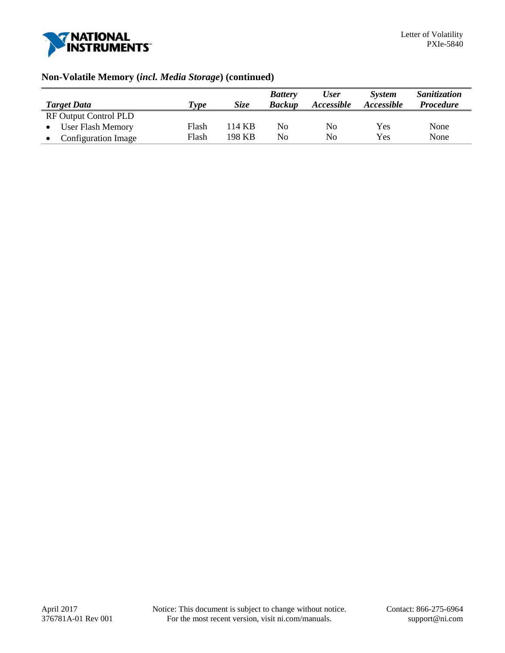

# **Non-Volatile Memory (***incl. Media Storage***) (continued)**

|                              |       |             | <b>Battery</b> | <b>User</b> | <b>System</b> | Sanitization     |
|------------------------------|-------|-------------|----------------|-------------|---------------|------------------|
| <b>Target Data</b>           | Type  | <b>Size</b> | <b>Backup</b>  | Accessible  | Accessible    | <b>Procedure</b> |
| <b>RF Output Control PLD</b> |       |             |                |             |               |                  |
| User Flash Memory            | Flash | 114 KB      | No             | No          | Yes           | None             |
| <b>Configuration Image</b>   | Flash | 198 KB      | No             | No          | Yes           | None             |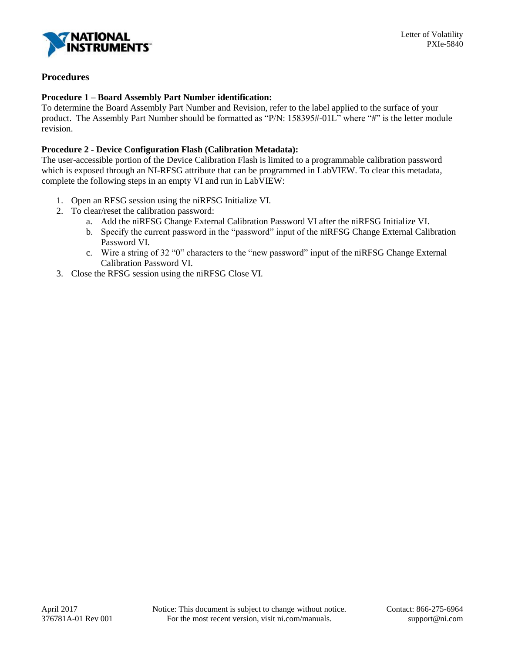

# **Procedures**

### **Procedure 1 – Board Assembly Part Number identification:**

To determine the Board Assembly Part Number and Revision, refer to the label applied to the surface of your product. The Assembly Part Number should be formatted as "P/N: 158395#-01L" where "#" is the letter module revision.

### **Procedure 2 - Device Configuration Flash (Calibration Metadata):**

The user-accessible portion of the Device Calibration Flash is limited to a programmable calibration password which is exposed through an NI-RFSG attribute that can be programmed in LabVIEW. To clear this metadata, complete the following steps in an empty VI and run in LabVIEW:

- 1. Open an RFSG session using the niRFSG Initialize VI.
- 2. To clear/reset the calibration password:
	- a. Add the niRFSG Change External Calibration Password VI after the niRFSG Initialize VI.
	- b. Specify the current password in the "password" input of the niRFSG Change External Calibration Password VI.
	- c. Wire a string of 32 "0" characters to the "new password" input of the niRFSG Change External Calibration Password VI.
- 3. Close the RFSG session using the niRFSG Close VI.